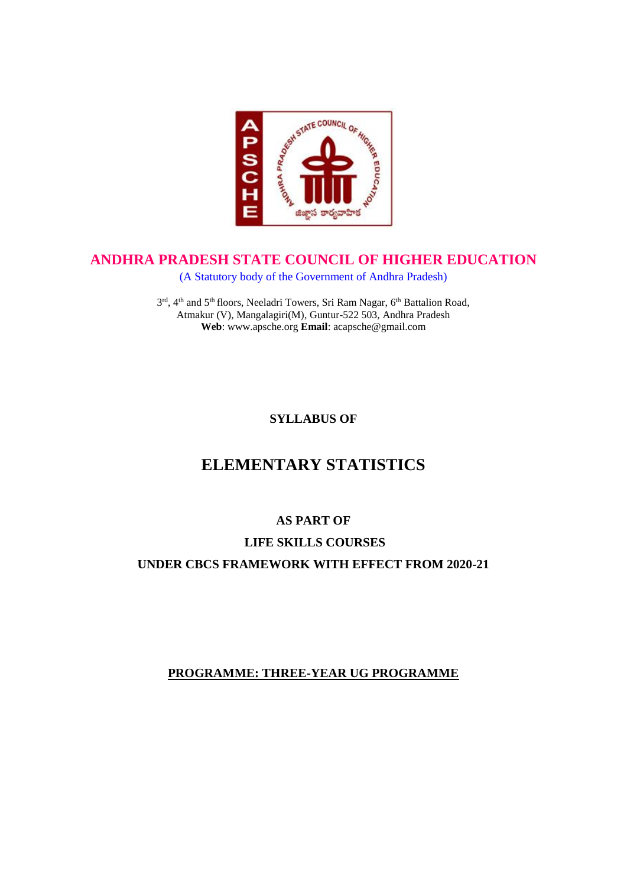

### **ANDHRA PRADESH STATE COUNCIL OF HIGHER EDUCATION**

(A Statutory body of the Government of Andhra Pradesh)

3<sup>rd</sup>, 4<sup>th</sup> and 5<sup>th</sup> floors, Neeladri Towers, Sri Ram Nagar, 6<sup>th</sup> Battalion Road, Atmakur (V), Mangalagiri(M), Guntur-522 503, Andhra Pradesh **Web**: www.apsche.org **Email**: acapsche@gmail.com

**SYLLABUS OF**

# **ELEMENTARY STATISTICS**

## **AS PART OF**

## **LIFE SKILLS COURSES**

**UNDER CBCS FRAMEWORK WITH EFFECT FROM 2020-21**

### **PROGRAMME: THREE-YEAR UG PROGRAMME**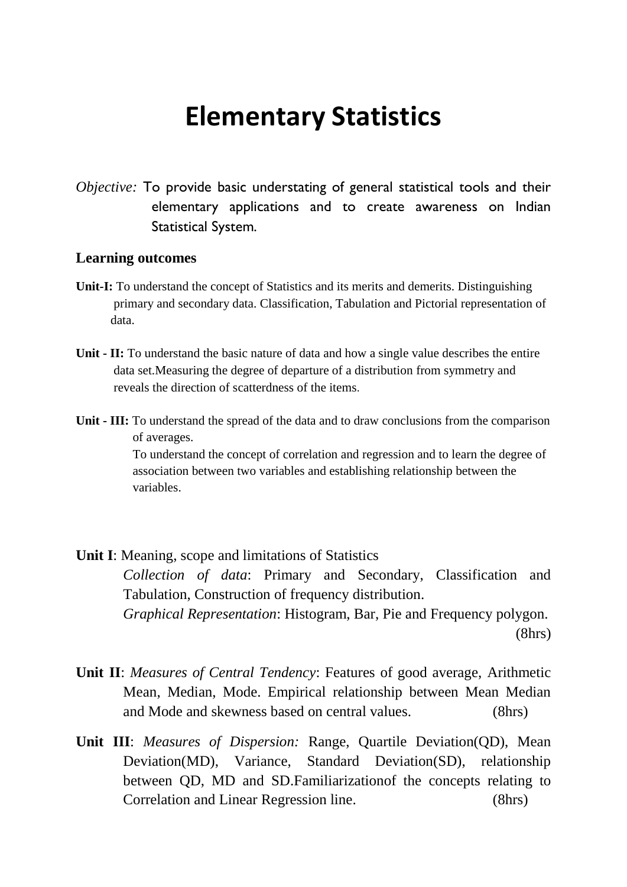# **Elementary Statistics**

*Objective:* To provide basic understating of general statistical tools and their elementary applications and to create awareness on Indian Statistical System.

#### **Learning outcomes**

- **Unit-I:** To understand the concept of Statistics and its merits and demerits. Distinguishing primary and secondary data. Classification, Tabulation and Pictorial representation of data.
- **Unit - II:** To understand the basic nature of data and how a single value describes the entire data set.Measuring the degree of departure of a distribution from symmetry and reveals the direction of scatterdness of the items.
- **Unit - III:** To understand the spread of the data and to draw conclusions from the comparison of averages.

 To understand the concept of correlation and regression and to learn the degree of association between two variables and establishing relationship between the variables.

**Unit I**: Meaning, scope and limitations of Statistics *Collection of data*: Primary and Secondary, Classification and Tabulation, Construction of frequency distribution. *Graphical Representation*: Histogram, Bar, Pie and Frequency polygon. (8hrs)

- **Unit II**: *Measures of Central Tendency*: Features of good average, Arithmetic Mean, Median, Mode. Empirical relationship between Mean Median and Mode and skewness based on central values. (8hrs)
- **Unit III**: *Measures of Dispersion:* Range, Quartile Deviation(QD), Mean Deviation(MD), Variance, Standard Deviation(SD), relationship between QD, MD and SD.Familiarizationof the concepts relating to Correlation and Linear Regression line. (8hrs)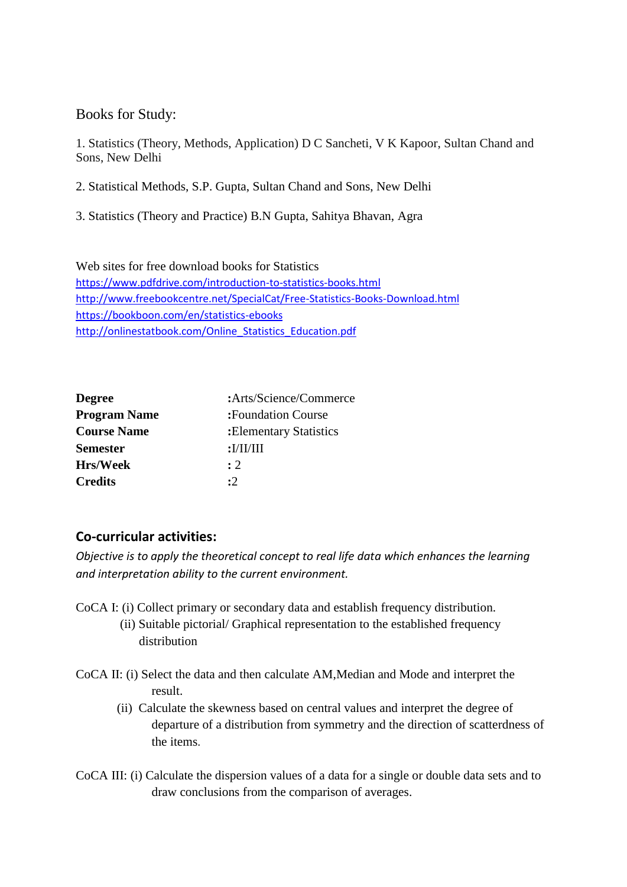### Books for Study:

1. Statistics (Theory, Methods, Application) D C Sancheti, V K Kapoor, Sultan Chand and Sons, New Delhi

2. Statistical Methods, S.P. Gupta, Sultan Chand and Sons, New Delhi

3. Statistics (Theory and Practice) B.N Gupta, Sahitya Bhavan, Agra

Web sites for free download books for Statistics <https://www.pdfdrive.com/introduction-to-statistics-books.html> <http://www.freebookcentre.net/SpecialCat/Free-Statistics-Books-Download.html> <https://bookboon.com/en/statistics-ebooks> [http://onlinestatbook.com/Online\\_Statistics\\_Education.pdf](http://onlinestatbook.com/Online_Statistics_Education.pdf)

| <b>Degree</b>       | :Arts/Science/Commerce              |
|---------------------|-------------------------------------|
| <b>Program Name</b> | :Foundation Course                  |
| <b>Course Name</b>  | : Elementary Statistics             |
| <b>Semester</b>     | : <b>I</b> / <b>II</b> / <b>III</b> |
| <b>Hrs/Week</b>     | $\cdot$ 2                           |
| <b>Credits</b>      | :2                                  |
|                     |                                     |

## **Co-curricular activities:**

*Objective is to apply the theoretical concept to real life data which enhances the learning and interpretation ability to the current environment.*

- CoCA I: (i) Collect primary or secondary data and establish frequency distribution. (ii) Suitable pictorial/ Graphical representation to the established frequency distribution
- CoCA II: (i) Select the data and then calculate AM,Median and Mode and interpret the result.
	- (ii) Calculate the skewness based on central values and interpret the degree of departure of a distribution from symmetry and the direction of scatterdness of the items.
- CoCA III: (i) Calculate the dispersion values of a data for a single or double data sets and to draw conclusions from the comparison of averages.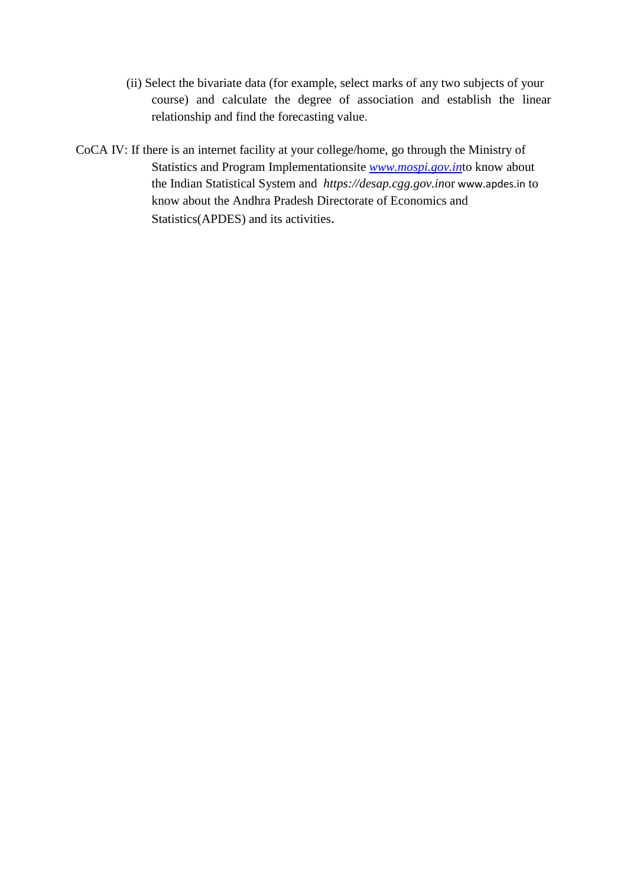- (ii) Select the bivariate data (for example, select marks of any two subjects of your course) and calculate the degree of association and establish the linear relationship and find the forecasting value.
- CoCA IV: If there is an internet facility at your college/home, go through the Ministry of Statistics and Program Implementationsite *[www.mospi.gov.in](http://www.mospi.gov.in/)*to know about the Indian Statistical System and *https://desap.cgg.gov.in*or www.apdes.in to know about the Andhra Pradesh Directorate of Economics and Statistics(APDES) and its activities.